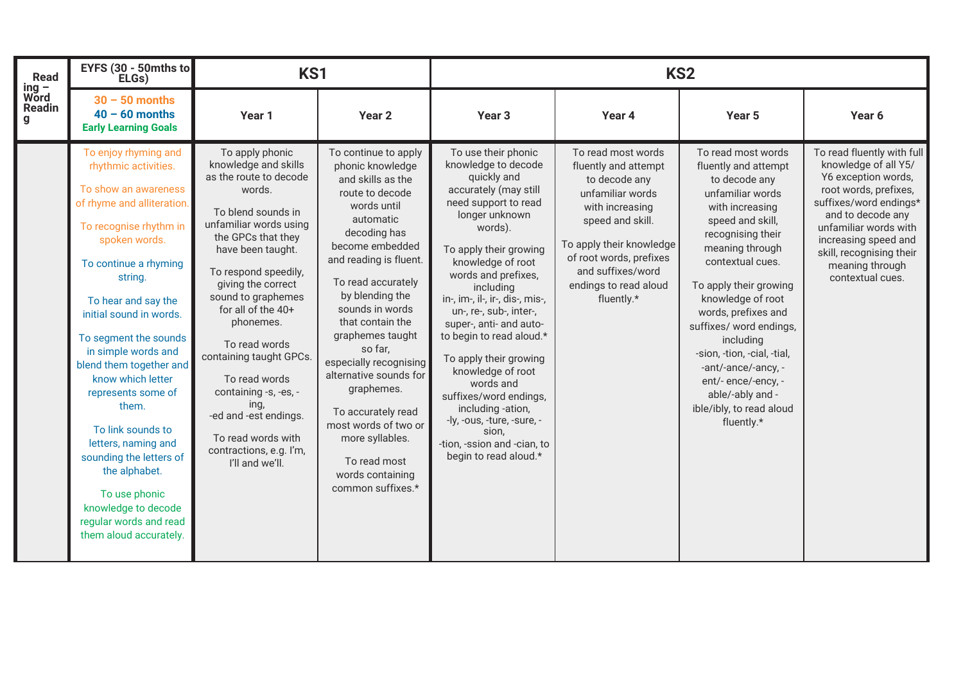| <b>Read</b>                         | EYFS (30 - 50mths to<br>ELGs)                                                                                                                                                                                                                                                                                                                                                                                                                                                                                                                          | KS1                                                                                                                                                                                                                                                                                                                                                                                                                                                                      |                                                                                                                                                                                                                                                                                                                                                                                                                                                                                      | KS <sub>2</sub>                                                                                                                                                                                                                                                                                                                                                                                                                                                                                                                                           |                                                                                                                                                                                                                                           |                                                                                                                                                                                                                                                                                                                                                                                                                                             |                                                                                                                                                                                                                                                                       |
|-------------------------------------|--------------------------------------------------------------------------------------------------------------------------------------------------------------------------------------------------------------------------------------------------------------------------------------------------------------------------------------------------------------------------------------------------------------------------------------------------------------------------------------------------------------------------------------------------------|--------------------------------------------------------------------------------------------------------------------------------------------------------------------------------------------------------------------------------------------------------------------------------------------------------------------------------------------------------------------------------------------------------------------------------------------------------------------------|--------------------------------------------------------------------------------------------------------------------------------------------------------------------------------------------------------------------------------------------------------------------------------------------------------------------------------------------------------------------------------------------------------------------------------------------------------------------------------------|-----------------------------------------------------------------------------------------------------------------------------------------------------------------------------------------------------------------------------------------------------------------------------------------------------------------------------------------------------------------------------------------------------------------------------------------------------------------------------------------------------------------------------------------------------------|-------------------------------------------------------------------------------------------------------------------------------------------------------------------------------------------------------------------------------------------|---------------------------------------------------------------------------------------------------------------------------------------------------------------------------------------------------------------------------------------------------------------------------------------------------------------------------------------------------------------------------------------------------------------------------------------------|-----------------------------------------------------------------------------------------------------------------------------------------------------------------------------------------------------------------------------------------------------------------------|
| ing –<br>Word<br><b>Readin</b><br>q | $30 - 50$ months<br>$40 - 60$ months<br><b>Early Learning Goals</b>                                                                                                                                                                                                                                                                                                                                                                                                                                                                                    | Year 1                                                                                                                                                                                                                                                                                                                                                                                                                                                                   | Year <sub>2</sub>                                                                                                                                                                                                                                                                                                                                                                                                                                                                    | Year <sub>3</sub>                                                                                                                                                                                                                                                                                                                                                                                                                                                                                                                                         | Year 4                                                                                                                                                                                                                                    | Year <sub>5</sub>                                                                                                                                                                                                                                                                                                                                                                                                                           | Year 6                                                                                                                                                                                                                                                                |
|                                     | To enjoy rhyming and<br>rhythmic activities.<br>To show an awareness<br>of rhyme and alliteration.<br>To recognise rhythm in<br>spoken words.<br>To continue a rhyming<br>string.<br>To hear and say the<br>initial sound in words.<br>To segment the sounds<br>in simple words and<br>blend them together and<br>know which letter<br>represents some of<br>them.<br>To link sounds to<br>letters, naming and<br>sounding the letters of<br>the alphabet.<br>To use phonic<br>knowledge to decode<br>regular words and read<br>them aloud accurately. | To apply phonic<br>knowledge and skills<br>as the route to decode<br>words.<br>To blend sounds in<br>unfamiliar words using<br>the GPCs that they<br>have been taught.<br>To respond speedily,<br>giving the correct<br>sound to graphemes<br>for all of the 40+<br>phonemes.<br>To read words<br>containing taught GPCs.<br>To read words<br>containing -s, -es, -<br>ing,<br>-ed and -est endings.<br>To read words with<br>contractions, e.g. I'm,<br>I'll and we'll. | To continue to apply<br>phonic knowledge<br>and skills as the<br>route to decode<br>words until<br>automatic<br>decoding has<br>become embedded<br>and reading is fluent.<br>To read accurately<br>by blending the<br>sounds in words<br>that contain the<br>graphemes taught<br>so far,<br>especially recognising<br>alternative sounds for<br>graphemes.<br>To accurately read<br>most words of two or<br>more syllables.<br>To read most<br>words containing<br>common suffixes.* | To use their phonic<br>knowledge to decode<br>quickly and<br>accurately (may still<br>need support to read<br>longer unknown<br>words).<br>To apply their growing<br>knowledge of root<br>words and prefixes,<br>including<br>in-, im-, il-, ir-, dis-, mis-,<br>un-, re-, sub-, inter-,<br>super-, anti- and auto-<br>to begin to read aloud.*<br>To apply their growing<br>knowledge of root<br>words and<br>suffixes/word endings,<br>including -ation,<br>-ly, -ous, -ture, -sure, -<br>sion.<br>-tion, -ssion and -cian, to<br>begin to read aloud.* | To read most words<br>fluently and attempt<br>to decode any<br>unfamiliar words<br>with increasing<br>speed and skill.<br>To apply their knowledge<br>of root words, prefixes<br>and suffixes/word<br>endings to read aloud<br>fluently.* | To read most words<br>fluently and attempt<br>to decode any<br>unfamiliar words<br>with increasing<br>speed and skill,<br>recognising their<br>meaning through<br>contextual cues.<br>To apply their growing<br>knowledge of root<br>words, prefixes and<br>suffixes/ word endings,<br>including<br>-sion, -tion, -cial, -tial,<br>-ant/-ance/-ancy, -<br>ent/- ence/-ency, -<br>able/-ably and -<br>ible/ibly, to read aloud<br>fluently.* | To read fluently with full<br>knowledge of all Y5/<br>Y6 exception words,<br>root words, prefixes,<br>suffixes/word endings*<br>and to decode any<br>unfamiliar words with<br>increasing speed and<br>skill, recognising their<br>meaning through<br>contextual cues. |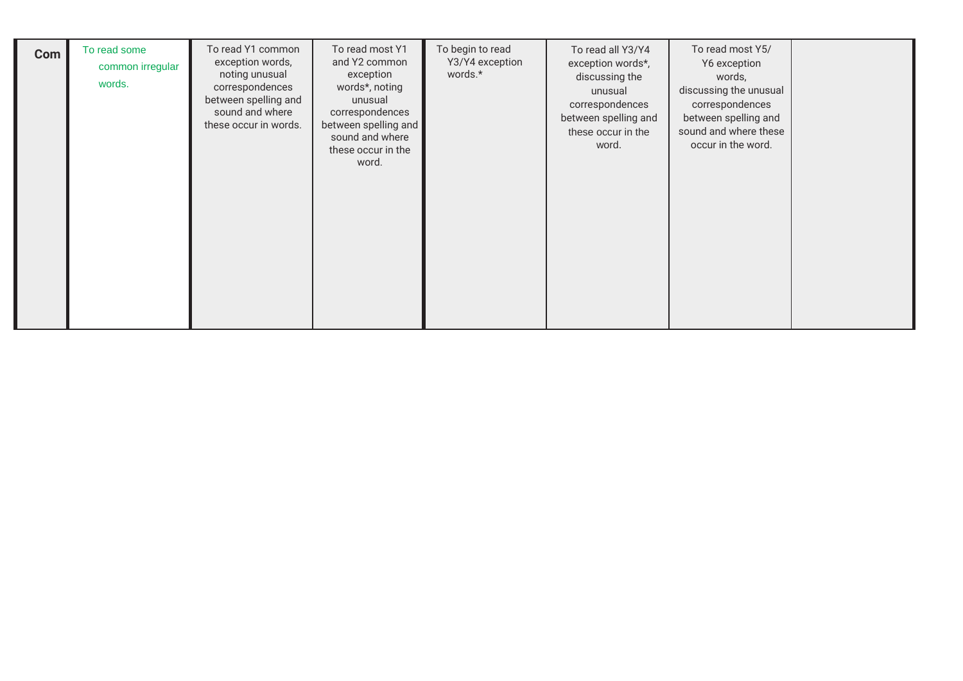| Com | To read some<br>common irregular<br>words. | To read Y1 common<br>exception words,<br>noting unusual<br>correspondences<br>between spelling and<br>sound and where<br>these occur in words. | To read most Y1<br>and Y2 common<br>exception<br>words*, noting<br>unusual<br>correspondences<br>between spelling and<br>sound and where<br>these occur in the<br>word. | To begin to read<br>Y3/Y4 exception<br>words.* | To read all Y3/Y4<br>exception words*,<br>discussing the<br>unusual<br>correspondences<br>between spelling and<br>these occur in the<br>word. | To read most Y5/<br>Y6 exception<br>words,<br>discussing the unusual<br>correspondences<br>between spelling and<br>sound and where these<br>occur in the word. |  |
|-----|--------------------------------------------|------------------------------------------------------------------------------------------------------------------------------------------------|-------------------------------------------------------------------------------------------------------------------------------------------------------------------------|------------------------------------------------|-----------------------------------------------------------------------------------------------------------------------------------------------|----------------------------------------------------------------------------------------------------------------------------------------------------------------|--|
|-----|--------------------------------------------|------------------------------------------------------------------------------------------------------------------------------------------------|-------------------------------------------------------------------------------------------------------------------------------------------------------------------------|------------------------------------------------|-----------------------------------------------------------------------------------------------------------------------------------------------|----------------------------------------------------------------------------------------------------------------------------------------------------------------|--|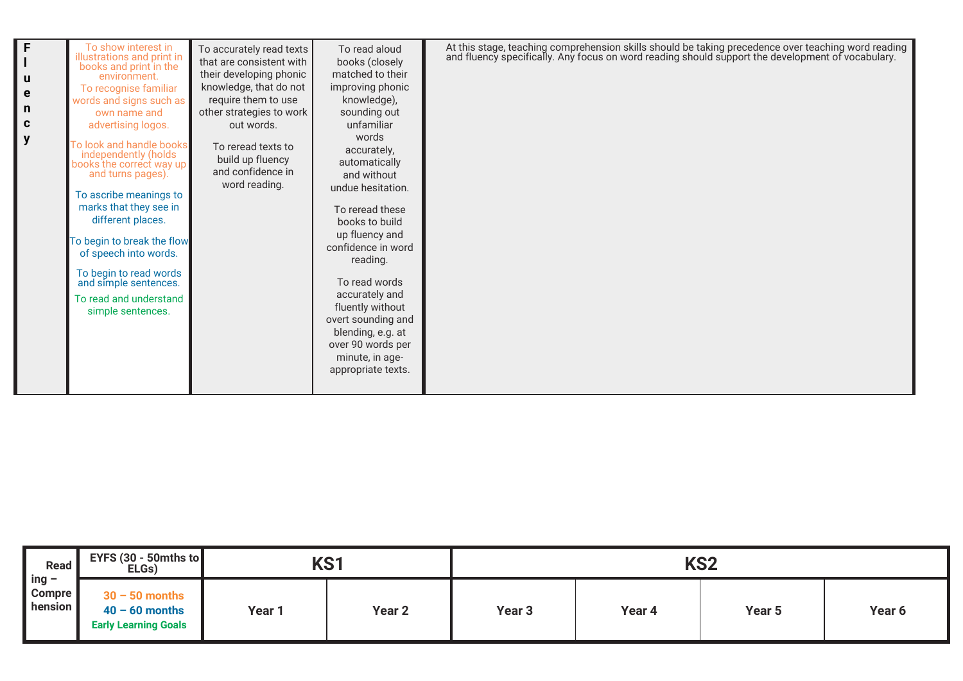| F<br>u<br>$\mathbf e$<br>$\mathsf{n}$<br>$\mathbf c$<br>y | To show interest in<br>illustrations and print in<br>books and print in the<br>environment.<br>To recognise familiar<br>words and signs such as<br>own name and<br>advertising logos.<br>To look and handle books<br>independently (holds<br>books the correct way up<br>and turns pages).<br>To ascribe meanings to<br>marks that they see in<br>different places.<br>To begin to break the flow<br>of speech into words.<br>To begin to read words<br>and simple sentences.<br>To read and understand<br>simple sentences. | To accurately read texts<br>that are consistent with<br>their developing phonic<br>knowledge, that do not<br>require them to use<br>other strategies to work<br>out words.<br>To reread texts to<br>build up fluency<br>and confidence in<br>word reading. | To read aloud<br>books (closely<br>matched to their<br>improving phonic<br>knowledge),<br>sounding out<br>unfamiliar<br>words<br>accurately,<br>automatically<br>and without<br>undue hesitation.<br>To reread these<br>books to build<br>up fluency and<br>confidence in word<br>reading.<br>To read words<br>accurately and<br>fluently without<br>overt sounding and<br>blending, e.g. at<br>over 90 words per<br>minute, in age-<br>appropriate texts. | At this stage, teaching comprehension skills should be taking precedence over teaching word reading and fluency specifically. Any focus on word reading should support the development of vocabulary. |
|-----------------------------------------------------------|------------------------------------------------------------------------------------------------------------------------------------------------------------------------------------------------------------------------------------------------------------------------------------------------------------------------------------------------------------------------------------------------------------------------------------------------------------------------------------------------------------------------------|------------------------------------------------------------------------------------------------------------------------------------------------------------------------------------------------------------------------------------------------------------|------------------------------------------------------------------------------------------------------------------------------------------------------------------------------------------------------------------------------------------------------------------------------------------------------------------------------------------------------------------------------------------------------------------------------------------------------------|-------------------------------------------------------------------------------------------------------------------------------------------------------------------------------------------------------|

| Read<br>$\ln g$ –                       | EYFS (30 - 50mths to<br>ELGs)                                       | KS1               |                   | KS <sub>2</sub>   |        |                   |                   |
|-----------------------------------------|---------------------------------------------------------------------|-------------------|-------------------|-------------------|--------|-------------------|-------------------|
| <b>Compre</b><br>$\blacksquare$ hension | $30 - 50$ months<br>$40 - 60$ months<br><b>Early Learning Goals</b> | Year <sub>1</sub> | Year <sub>2</sub> | Year <sub>3</sub> | Year 4 | Year <sub>5</sub> | Year <sub>6</sub> |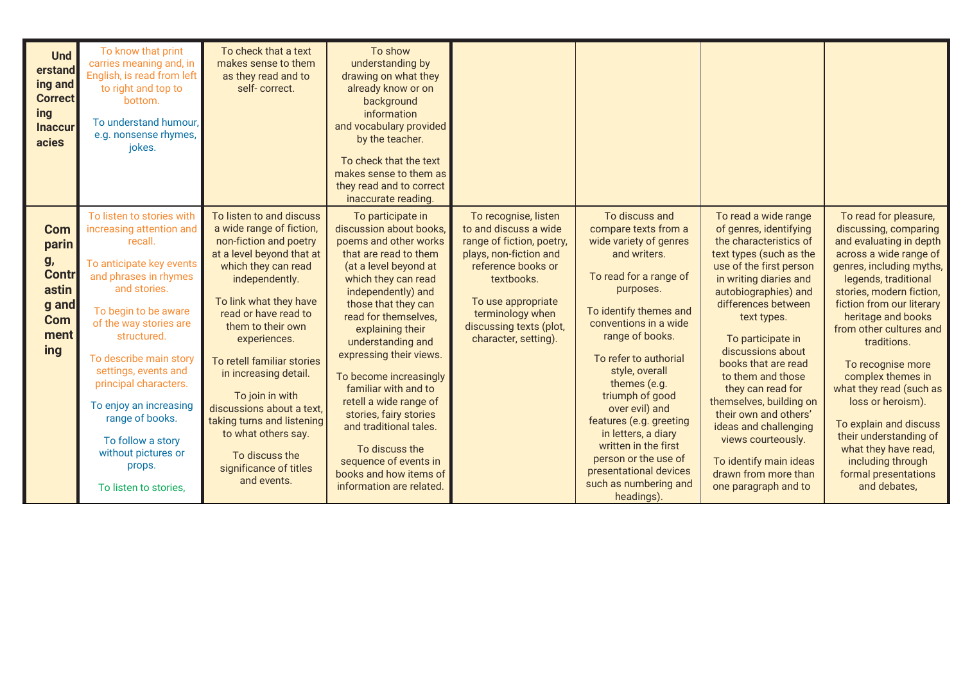| <b>Und</b><br>erstand<br>ing and<br><b>Correct</b><br>ing<br><b>Inaccur</b><br>acies     | To know that print<br>carries meaning and, in<br>English, is read from left<br>to right and top to<br>bottom.<br>To understand humour,<br>e.g. nonsense rhymes,<br>jokes.                                                                                                                                                                                                                                     | To check that a text<br>makes sense to them<br>as they read and to<br>self-correct.                                                                                                                                                                                                                                                                                                                                                                                | To show<br>understanding by<br>drawing on what they<br>already know or on<br>background<br>information<br>and vocabulary provided<br>by the teacher.<br>To check that the text<br>makes sense to them as<br>they read and to correct<br>inaccurate reading.                                                                                                                                                                                                                                                              |                                                                                                                                                                                                                                       |                                                                                                                                                                                                                                                                                                                                                                                                                                                                  |                                                                                                                                                                                                                                                                                                                                                                                                                                                                                                                |                                                                                                                                                                                                                                                                                                                                                                                                                                                                                                                     |
|------------------------------------------------------------------------------------------|---------------------------------------------------------------------------------------------------------------------------------------------------------------------------------------------------------------------------------------------------------------------------------------------------------------------------------------------------------------------------------------------------------------|--------------------------------------------------------------------------------------------------------------------------------------------------------------------------------------------------------------------------------------------------------------------------------------------------------------------------------------------------------------------------------------------------------------------------------------------------------------------|--------------------------------------------------------------------------------------------------------------------------------------------------------------------------------------------------------------------------------------------------------------------------------------------------------------------------------------------------------------------------------------------------------------------------------------------------------------------------------------------------------------------------|---------------------------------------------------------------------------------------------------------------------------------------------------------------------------------------------------------------------------------------|------------------------------------------------------------------------------------------------------------------------------------------------------------------------------------------------------------------------------------------------------------------------------------------------------------------------------------------------------------------------------------------------------------------------------------------------------------------|----------------------------------------------------------------------------------------------------------------------------------------------------------------------------------------------------------------------------------------------------------------------------------------------------------------------------------------------------------------------------------------------------------------------------------------------------------------------------------------------------------------|---------------------------------------------------------------------------------------------------------------------------------------------------------------------------------------------------------------------------------------------------------------------------------------------------------------------------------------------------------------------------------------------------------------------------------------------------------------------------------------------------------------------|
| <b>Com</b><br>parin<br>g,<br><b>Contr</b><br>astin<br>g and<br><b>Com</b><br>ment<br>ing | To listen to stories with<br>increasing attention and<br>recall.<br>To anticipate key events<br>and phrases in rhymes<br>and stories.<br>To begin to be aware<br>of the way stories are<br>structured.<br>To describe main story<br>settings, events and<br>principal characters.<br>To enjoy an increasing<br>range of books.<br>To follow a story<br>without pictures or<br>props.<br>To listen to stories, | To listen to and discuss<br>a wide range of fiction,<br>non-fiction and poetry<br>at a level beyond that at<br>which they can read<br>independently.<br>To link what they have<br>read or have read to<br>them to their own<br>experiences.<br>To retell familiar stories<br>in increasing detail.<br>To join in with<br>discussions about a text,<br>taking turns and listening<br>to what others say.<br>To discuss the<br>significance of titles<br>and events. | To participate in<br>discussion about books,<br>poems and other works<br>that are read to them<br>(at a level beyond at<br>which they can read<br>independently) and<br>those that they can<br>read for themselves,<br>explaining their<br>understanding and<br>expressing their views.<br>To become increasingly<br>familiar with and to<br>retell a wide range of<br>stories, fairy stories<br>and traditional tales.<br>To discuss the<br>sequence of events in<br>books and how items of<br>information are related. | To recognise, listen<br>to and discuss a wide<br>range of fiction, poetry,<br>plays, non-fiction and<br>reference books or<br>textbooks.<br>To use appropriate<br>terminology when<br>discussing texts (plot,<br>character, setting). | To discuss and<br>compare texts from a<br>wide variety of genres<br>and writers.<br>To read for a range of<br>purposes.<br>To identify themes and<br>conventions in a wide<br>range of books.<br>To refer to authorial<br>style, overall<br>themes (e.g.<br>triumph of good<br>over evil) and<br>features (e.g. greeting<br>in letters, a diary<br>written in the first<br>person or the use of<br>presentational devices<br>such as numbering and<br>headings). | To read a wide range<br>of genres, identifying<br>the characteristics of<br>text types (such as the<br>use of the first person<br>in writing diaries and<br>autobiographies) and<br>differences between<br>text types.<br>To participate in<br>discussions about<br>books that are read<br>to them and those<br>they can read for<br>themselves, building on<br>their own and others'<br>ideas and challenging<br>views courteously.<br>To identify main ideas<br>drawn from more than<br>one paragraph and to | To read for pleasure,<br>discussing, comparing<br>and evaluating in depth<br>across a wide range of<br>genres, including myths,<br>legends, traditional<br>stories, modern fiction,<br>fiction from our literary<br>heritage and books<br>from other cultures and<br>traditions.<br>To recognise more<br>complex themes in<br>what they read (such as<br>loss or heroism).<br>To explain and discuss<br>their understanding of<br>what they have read,<br>including through<br>formal presentations<br>and debates, |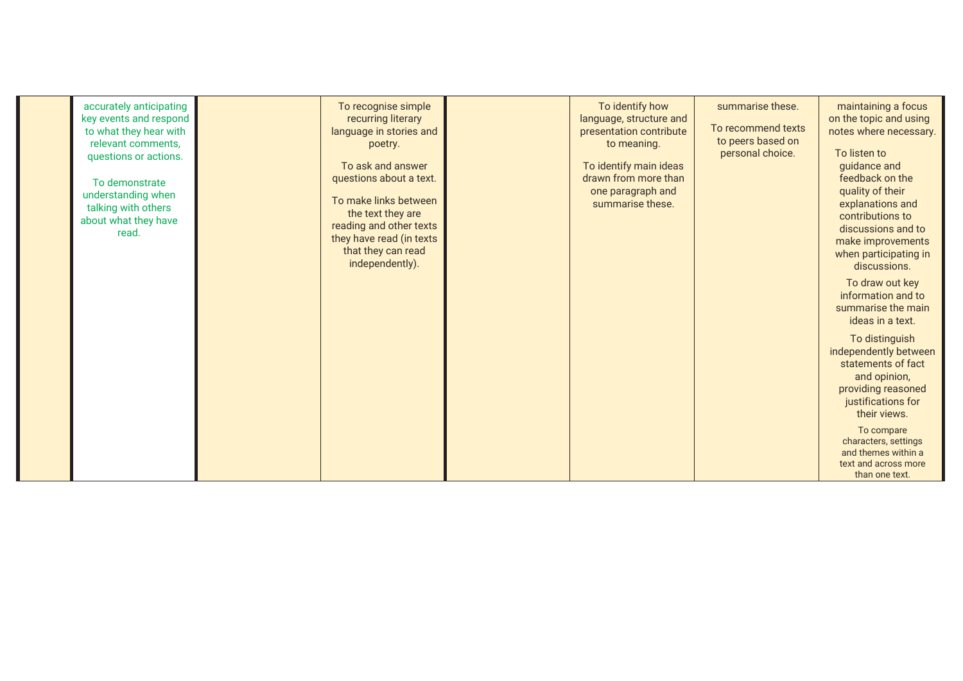| accurately anticipating<br>key events and respond<br>to what they hear with<br>relevant comments,<br>questions or actions.<br>To demonstrate | To recognise simple<br>recurring literary<br>language in stories and<br>poetry.<br>To ask and answer<br>questions about a text.            | To identify how<br>language, structure and<br>presentation contribute<br>to meaning.<br>To identify main ideas<br>drawn from more than | summarise these.<br>To recommend texts<br>to peers based on<br>personal choice. | maintaining a focus<br>on the topic and using<br>notes where necessary.<br>To listen to<br>guidance and<br>feedback on the                   |
|----------------------------------------------------------------------------------------------------------------------------------------------|--------------------------------------------------------------------------------------------------------------------------------------------|----------------------------------------------------------------------------------------------------------------------------------------|---------------------------------------------------------------------------------|----------------------------------------------------------------------------------------------------------------------------------------------|
| understanding when<br>talking with others<br>about what they have<br>read.                                                                   | To make links between<br>the text they are<br>reading and other texts<br>they have read (in texts<br>that they can read<br>independently). | one paragraph and<br>summarise these.                                                                                                  |                                                                                 | quality of their<br>explanations and<br>contributions to<br>discussions and to<br>make improvements<br>when participating in<br>discussions. |
|                                                                                                                                              |                                                                                                                                            |                                                                                                                                        |                                                                                 | To draw out key<br>information and to<br>summarise the main<br>ideas in a text.                                                              |
|                                                                                                                                              |                                                                                                                                            |                                                                                                                                        |                                                                                 | To distinguish<br>independently between<br>statements of fact<br>and opinion,<br>providing reasoned<br>justifications for<br>their views.    |
|                                                                                                                                              |                                                                                                                                            |                                                                                                                                        |                                                                                 | To compare<br>characters, settings<br>and themes within a<br>text and across more<br>than one text.                                          |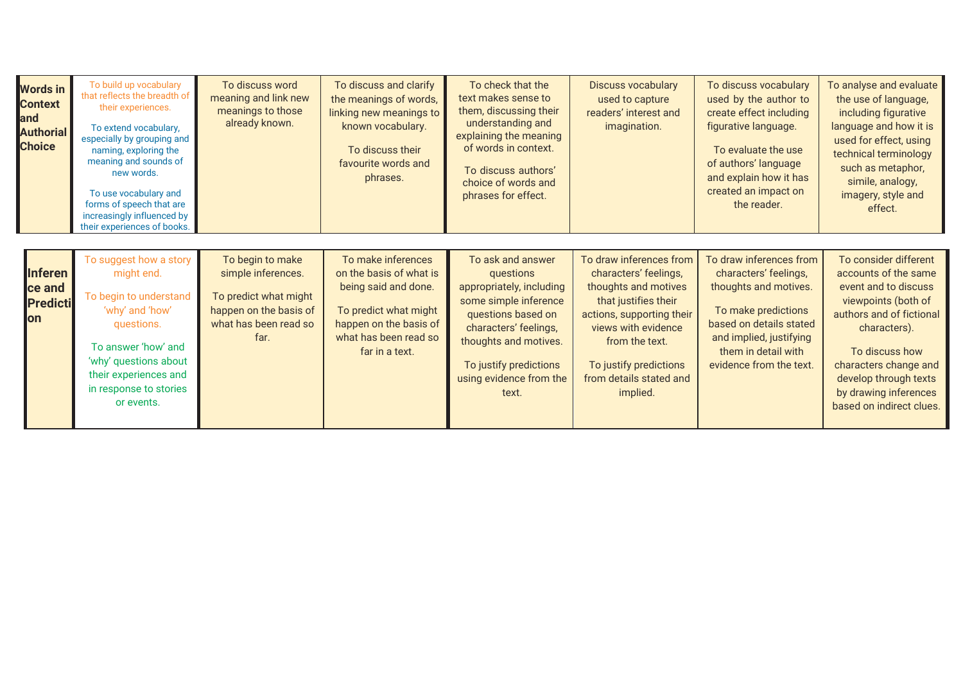| <b>Words in</b><br><b>Context</b><br>and<br><b>Authorial</b><br><b>Choice</b> | To build up vocabulary<br>that reflects the breadth of<br>their experiences.<br>To extend vocabulary,<br>especially by grouping and<br>naming, exploring the<br>meaning and sounds of<br>new words.<br>To use vocabulary and<br>forms of speech that are<br>increasingly influenced by<br>their experiences of books. | To discuss word<br>meaning and link new<br>meanings to those<br>already known.                                             | To discuss and clarify<br>the meanings of words,<br>linking new meanings to<br>known vocabulary.<br>To discuss their<br>favourite words and<br>phrases.             | To check that the<br>text makes sense to<br>them, discussing their<br>understanding and<br>explaining the meaning<br>of words in context.<br>To discuss authors'<br>choice of words and<br>phrases for effect.            | <b>Discuss vocabulary</b><br>used to capture<br>readers' interest and<br>imagination.                                                                                                                                                   | To discuss vocabulary<br>used by the author to<br>create effect including<br>figurative language.<br>To evaluate the use<br>of authors' language<br>and explain how it has<br>created an impact on<br>the reader. | To analyse and evaluate<br>the use of language,<br>including figurative<br>language and how it is<br>used for effect, using<br>technical terminology<br>such as metaphor,<br>simile, analogy,<br>imagery, style and<br>effect.                                    |
|-------------------------------------------------------------------------------|-----------------------------------------------------------------------------------------------------------------------------------------------------------------------------------------------------------------------------------------------------------------------------------------------------------------------|----------------------------------------------------------------------------------------------------------------------------|---------------------------------------------------------------------------------------------------------------------------------------------------------------------|---------------------------------------------------------------------------------------------------------------------------------------------------------------------------------------------------------------------------|-----------------------------------------------------------------------------------------------------------------------------------------------------------------------------------------------------------------------------------------|-------------------------------------------------------------------------------------------------------------------------------------------------------------------------------------------------------------------|-------------------------------------------------------------------------------------------------------------------------------------------------------------------------------------------------------------------------------------------------------------------|
| Inferen<br>ce and<br><b>Predicti</b><br><b>l</b> on                           | To suggest how a story<br>might end.<br>To begin to understand<br>'why' and 'how'<br>questions.<br>To answer 'how' and<br>'why' questions about<br>their experiences and<br>in response to stories<br>or events.                                                                                                      | To begin to make<br>simple inferences.<br>To predict what might<br>happen on the basis of<br>what has been read so<br>far. | To make inferences<br>on the basis of what is<br>being said and done.<br>To predict what might<br>happen on the basis of<br>what has been read so<br>far in a text. | To ask and answer<br>questions<br>appropriately, including<br>some simple inference<br>questions based on<br>characters' feelings,<br>thoughts and motives.<br>To justify predictions<br>using evidence from the<br>text. | To draw inferences from<br>characters' feelings,<br>thoughts and motives<br>that justifies their<br>actions, supporting their<br>views with evidence<br>from the text.<br>To justify predictions<br>from details stated and<br>implied. | To draw inferences from<br>characters' feelings,<br>thoughts and motives.<br>To make predictions<br>based on details stated<br>and implied, justifying<br>them in detail with<br>evidence from the text.          | To consider different<br>accounts of the same<br>event and to discuss<br>viewpoints (both of<br>authors and of fictional<br>characters).<br>To discuss how<br>characters change and<br>develop through texts<br>by drawing inferences<br>based on indirect clues. |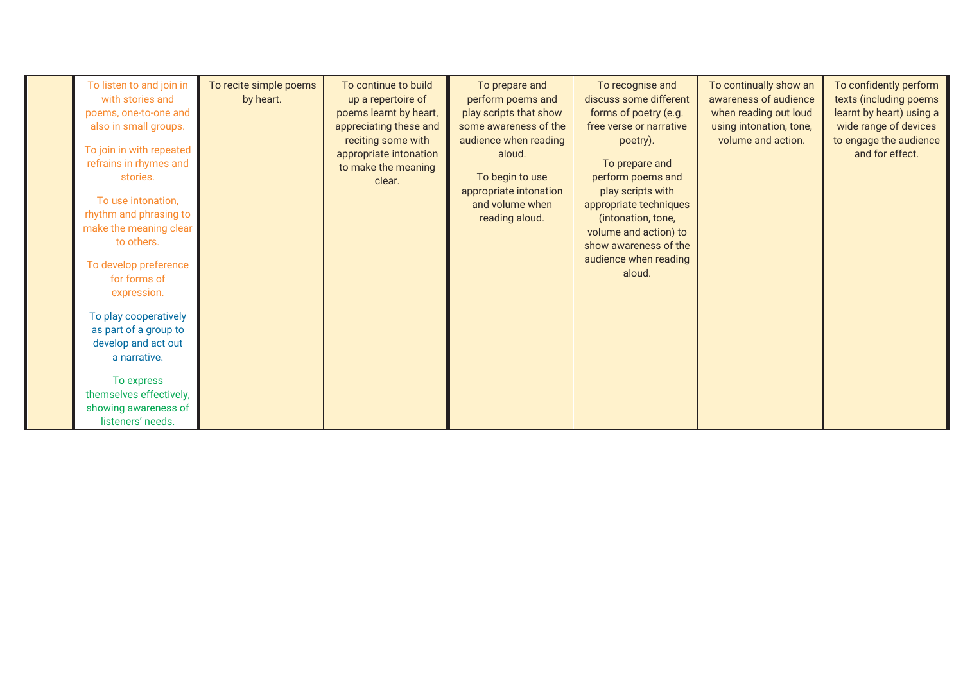| To listen to and join in<br>with stories and<br>poems, one-to-one and<br>also in small groups.<br>To join in with repeated<br>refrains in rhymes and<br>stories.<br>To use intonation,<br>rhythm and phrasing to<br>make the meaning clear<br>to others.<br>To develop preference<br>for forms of | To recite simple poems<br>by heart. | To continue to build<br>up a repertoire of<br>poems learnt by heart,<br>appreciating these and<br>reciting some with<br>appropriate intonation<br>to make the meaning<br>clear. | To prepare and<br>perform poems and<br>play scripts that show<br>some awareness of the<br>audience when reading<br>aloud.<br>To begin to use<br>appropriate intonation<br>and volume when<br>reading aloud. | To recognise and<br>discuss some different<br>forms of poetry (e.g.<br>free verse or narrative<br>poetry).<br>To prepare and<br>perform poems and<br>play scripts with<br>appropriate techniques<br>(intonation, tone,<br>volume and action) to<br>show awareness of the<br>audience when reading<br>aloud. | To continually show an<br>awareness of audience<br>when reading out loud<br>using intonation, tone,<br>volume and action. | To confidently perform<br>texts (including poems<br>learnt by heart) using a<br>wide range of devices<br>to engage the audience<br>and for effect. |
|---------------------------------------------------------------------------------------------------------------------------------------------------------------------------------------------------------------------------------------------------------------------------------------------------|-------------------------------------|---------------------------------------------------------------------------------------------------------------------------------------------------------------------------------|-------------------------------------------------------------------------------------------------------------------------------------------------------------------------------------------------------------|-------------------------------------------------------------------------------------------------------------------------------------------------------------------------------------------------------------------------------------------------------------------------------------------------------------|---------------------------------------------------------------------------------------------------------------------------|----------------------------------------------------------------------------------------------------------------------------------------------------|
| expression.<br>To play cooperatively<br>as part of a group to<br>develop and act out<br>a narrative.<br>To express<br>themselves effectively,<br>showing awareness of<br>listeners' needs.                                                                                                        |                                     |                                                                                                                                                                                 |                                                                                                                                                                                                             |                                                                                                                                                                                                                                                                                                             |                                                                                                                           |                                                                                                                                                    |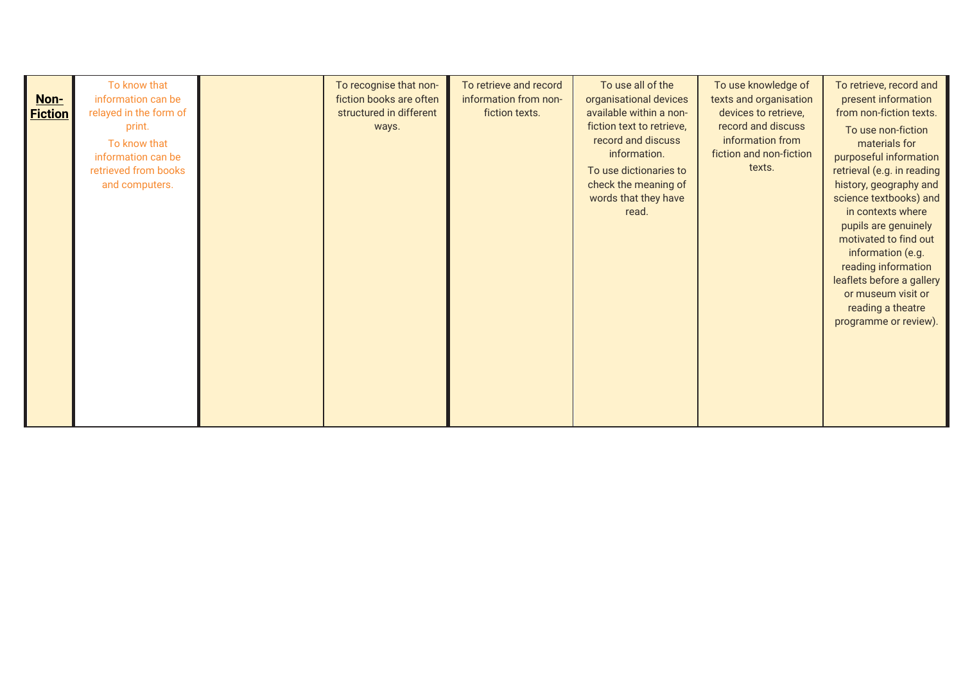| Non-<br><b>Fiction</b> | To know that<br>information can be<br>relayed in the form of<br>print.<br>To know that<br>information can be<br>retrieved from books<br>and computers. |  | To recognise that non-<br>fiction books are often<br>structured in different<br>ways. | To retrieve and record<br>information from non-<br>fiction texts. | To use all of the<br>organisational devices<br>available within a non-<br>fiction text to retrieve,<br>record and discuss<br>information.<br>To use dictionaries to<br>check the meaning of<br>words that they have<br>read. | To use knowledge of<br>texts and organisation<br>devices to retrieve,<br>record and discuss<br>information from<br>fiction and non-fiction<br>texts. | To retrieve, record and<br>present information<br>from non-fiction texts.<br>To use non-fiction<br>materials for<br>purposeful information<br>retrieval (e.g. in reading<br>history, geography and<br>science textbooks) and<br>in contexts where<br>pupils are genuinely<br>motivated to find out<br>information (e.g.<br>reading information<br>leaflets before a gallery<br>or museum visit or<br>reading a theatre<br>programme or review). |
|------------------------|--------------------------------------------------------------------------------------------------------------------------------------------------------|--|---------------------------------------------------------------------------------------|-------------------------------------------------------------------|------------------------------------------------------------------------------------------------------------------------------------------------------------------------------------------------------------------------------|------------------------------------------------------------------------------------------------------------------------------------------------------|-------------------------------------------------------------------------------------------------------------------------------------------------------------------------------------------------------------------------------------------------------------------------------------------------------------------------------------------------------------------------------------------------------------------------------------------------|
|------------------------|--------------------------------------------------------------------------------------------------------------------------------------------------------|--|---------------------------------------------------------------------------------------|-------------------------------------------------------------------|------------------------------------------------------------------------------------------------------------------------------------------------------------------------------------------------------------------------------|------------------------------------------------------------------------------------------------------------------------------------------------------|-------------------------------------------------------------------------------------------------------------------------------------------------------------------------------------------------------------------------------------------------------------------------------------------------------------------------------------------------------------------------------------------------------------------------------------------------|